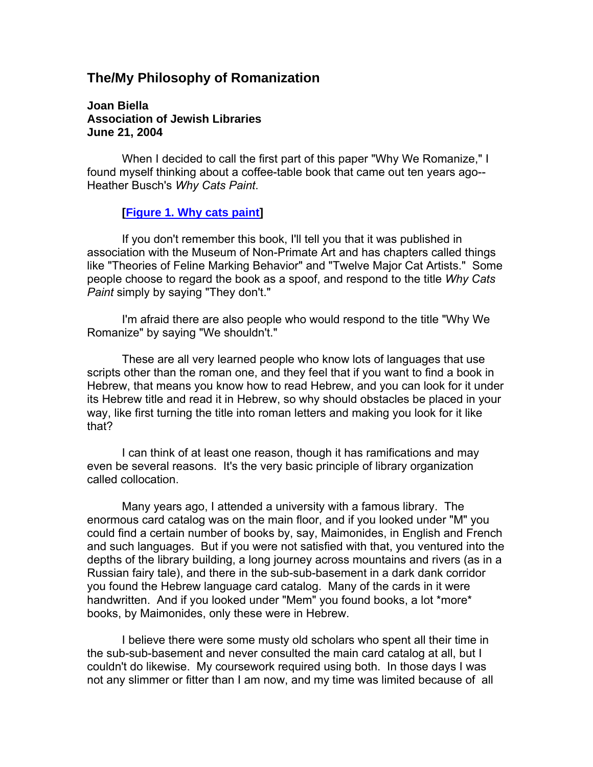# **The/My Philosophy of Romanization**

**Joan Biella Association of Jewish Libraries June 21, 2004**

 When I decided to call the first part of this paper "Why We Romanize," I found myself thinking about a coffee-table book that came out ten years ago-- Heather Busch's *Why Cats Paint*.

#### **[Figure 1. Why cats paint]**

 If you don't remember this book, I'll tell you that it was published in association with the Museum of Non-Primate Art and has chapters called things like "Theories of Feline Marking Behavior" and "Twelve Major Cat Artists." Some people choose to regard the book as a spoof, and respond to the title *Why Cats Paint* simply by saying "They don't."

 I'm afraid there are also people who would respond to the title "Why We Romanize" by saying "We shouldn't."

 These are all very learned people who know lots of languages that use scripts other than the roman one, and they feel that if you want to find a book in Hebrew, that means you know how to read Hebrew, and you can look for it under its Hebrew title and read it in Hebrew, so why should obstacles be placed in your way, like first turning the title into roman letters and making you look for it like that?

 I can think of at least one reason, though it has ramifications and may even be several reasons. It's the very basic principle of library organization called collocation.

 Many years ago, I attended a university with a famous library. The enormous card catalog was on the main floor, and if you looked under "M" you could find a certain number of books by, say, Maimonides, in English and French and such languages. But if you were not satisfied with that, you ventured into the depths of the library building, a long journey across mountains and rivers (as in a Russian fairy tale), and there in the sub-sub-basement in a dark dank corridor you found the Hebrew language card catalog. Many of the cards in it were handwritten. And if you looked under "Mem" you found books, a lot \*more\* books, by Maimonides, only these were in Hebrew.

 I believe there were some musty old scholars who spent all their time in the sub-sub-basement and never consulted the main card catalog at all, but I couldn't do likewise. My coursework required using both. In those days I was not any slimmer or fitter than I am now, and my time was limited because of all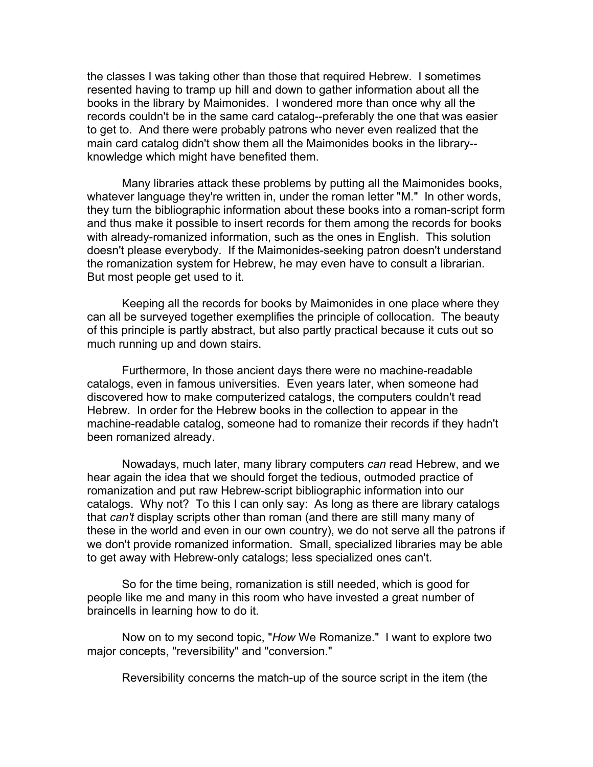the classes I was taking other than those that required Hebrew. I sometimes resented having to tramp up hill and down to gather information about all the books in the library by Maimonides. I wondered more than once why all the records couldn't be in the same card catalog--preferably the one that was easier to get to. And there were probably patrons who never even realized that the main card catalog didn't show them all the Maimonides books in the library- knowledge which might have benefited them.

 Many libraries attack these problems by putting all the Maimonides books, whatever language they're written in, under the roman letter "M." In other words, they turn the bibliographic information about these books into a roman-script form and thus make it possible to insert records for them among the records for books with already-romanized information, such as the ones in English. This solution doesn't please everybody. If the Maimonides-seeking patron doesn't understand the romanization system for Hebrew, he may even have to consult a librarian. But most people get used to it.

 Keeping all the records for books by Maimonides in one place where they can all be surveyed together exemplifies the principle of collocation. The beauty of this principle is partly abstract, but also partly practical because it cuts out so much running up and down stairs.

 Furthermore, In those ancient days there were no machine-readable catalogs, even in famous universities. Even years later, when someone had discovered how to make computerized catalogs, the computers couldn't read Hebrew. In order for the Hebrew books in the collection to appear in the machine-readable catalog, someone had to romanize their records if they hadn't been romanized already.

 Nowadays, much later, many library computers *can* read Hebrew, and we hear again the idea that we should forget the tedious, outmoded practice of romanization and put raw Hebrew-script bibliographic information into our catalogs. Why not? To this I can only say: As long as there are library catalogs that *can't* display scripts other than roman (and there are still many many of these in the world and even in our own country), we do not serve all the patrons if we don't provide romanized information. Small, specialized libraries may be able to get away with Hebrew-only catalogs; less specialized ones can't.

 So for the time being, romanization is still needed, which is good for people like me and many in this room who have invested a great number of braincells in learning how to do it.

 Now on to my second topic, "*How* We Romanize." I want to explore two major concepts, "reversibility" and "conversion."

Reversibility concerns the match-up of the source script in the item (the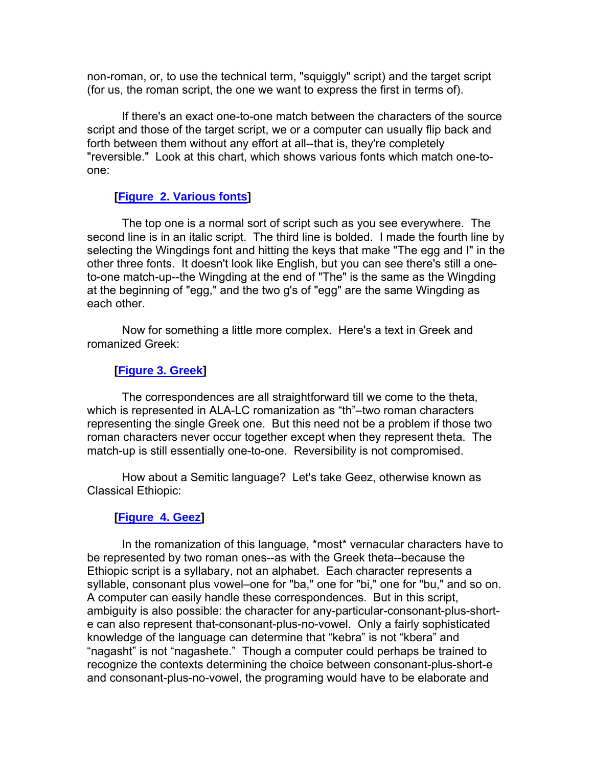non-roman, or, to use the technical term, "squiggly" script) and the target script (for us, the roman script, the one we want to express the first in terms of).

 If there's an exact one-to-one match between the characters of the source script and those of the target script, we or a computer can usually flip back and forth between them without any effort at all--that is, they're completely "reversible." Look at this chart, which shows various fonts which match one-toone:

### **[Figure 2. Various fonts]**

 The top one is a normal sort of script such as you see everywhere. The second line is in an italic script. The third line is bolded. I made the fourth line by selecting the Wingdings font and hitting the keys that make "The egg and I" in the other three fonts. It doesn't look like English, but you can see there's still a oneto-one match-up--the Wingding at the end of "The" is the same as the Wingding at the beginning of "egg," and the two g's of "egg" are the same Wingding as each other.

 Now for something a little more complex. Here's a text in Greek and romanized Greek:

# **[Figure 3. Greek]**

 The correspondences are all straightforward till we come to the theta, which is represented in ALA-LC romanization as "th"–two roman characters representing the single Greek one. But this need not be a problem if those two roman characters never occur together except when they represent theta. The match-up is still essentially one-to-one. Reversibility is not compromised.

 How about a Semitic language? Let's take Geez, otherwise known as Classical Ethiopic:

### **[Figure 4. Geez]**

 In the romanization of this language, \*most\* vernacular characters have to be represented by two roman ones--as with the Greek theta--because the Ethiopic script is a syllabary, not an alphabet. Each character represents a syllable, consonant plus vowel–one for "ba," one for "bi," one for "bu," and so on. A computer can easily handle these correspondences. But in this script, ambiguity is also possible: the character for any-particular-consonant-plus-shorte can also represent that-consonant-plus-no-vowel. Only a fairly sophisticated knowledge of the language can determine that "kebra" is not "kbera" and "nagasht" is not "nagashete." Though a computer could perhaps be trained to recognize the contexts determining the choice between consonant-plus-short-e and consonant-plus-no-vowel, the programing would have to be elaborate and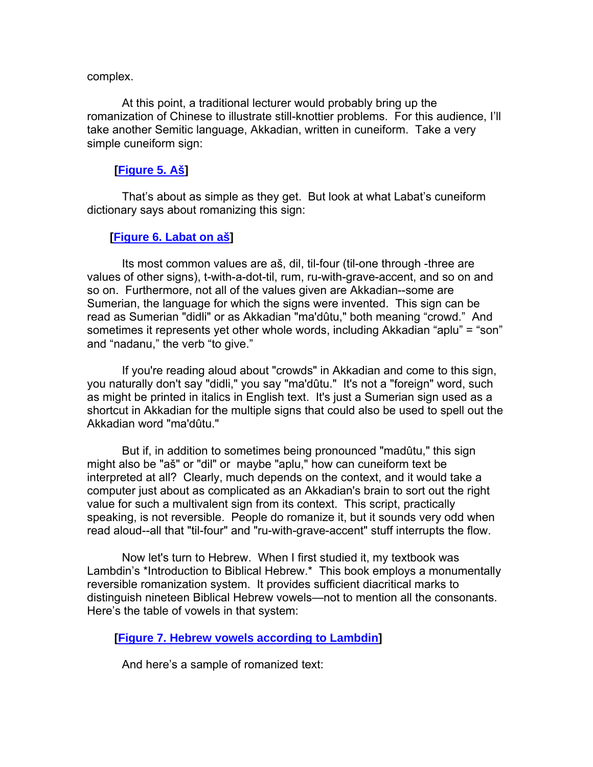#### complex.

 At this point, a traditional lecturer would probably bring up the romanization of Chinese to illustrate still-knottier problems. For this audience, I'll take another Semitic language, Akkadian, written in cuneiform. Take a very simple cuneiform sign:

#### **[Figure 5. Aš]**

 That's about as simple as they get. But look at what Labat's cuneiform dictionary says about romanizing this sign:

#### **[Figure 6. Labat on aš]**

 Its most common values are aš, dil, til-four (til-one through -three are values of other signs), t-with-a-dot-til, rum, ru-with-grave-accent, and so on and so on. Furthermore, not all of the values given are Akkadian--some are Sumerian, the language for which the signs were invented. This sign can be read as Sumerian "didli" or as Akkadian "ma'dûtu," both meaning "crowd." And sometimes it represents yet other whole words, including Akkadian "aplu" = "son" and "nadanu," the verb "to give."

 If you're reading aloud about "crowds" in Akkadian and come to this sign, you naturally don't say "didli," you say "ma'dûtu." It's not a "foreign" word, such as might be printed in italics in English text. It's just a Sumerian sign used as a shortcut in Akkadian for the multiple signs that could also be used to spell out the Akkadian word "ma'dûtu."

 But if, in addition to sometimes being pronounced "madûtu," this sign might also be "aš" or "dil" or maybe "aplu," how can cuneiform text be interpreted at all? Clearly, much depends on the context, and it would take a computer just about as complicated as an Akkadian's brain to sort out the right value for such a multivalent sign from its context. This script, practically speaking, is not reversible. People do romanize it, but it sounds very odd when read aloud--all that "til-four" and "ru-with-grave-accent" stuff interrupts the flow.

 Now let's turn to Hebrew. When I first studied it, my textbook was Lambdin's \*Introduction to Biblical Hebrew.\* This book employs a monumentally reversible romanization system. It provides sufficient diacritical marks to distinguish nineteen Biblical Hebrew vowels—not to mention all the consonants. Here's the table of vowels in that system:

**[Figure 7. Hebrew vowels according to Lambdin]** 

And here's a sample of romanized text: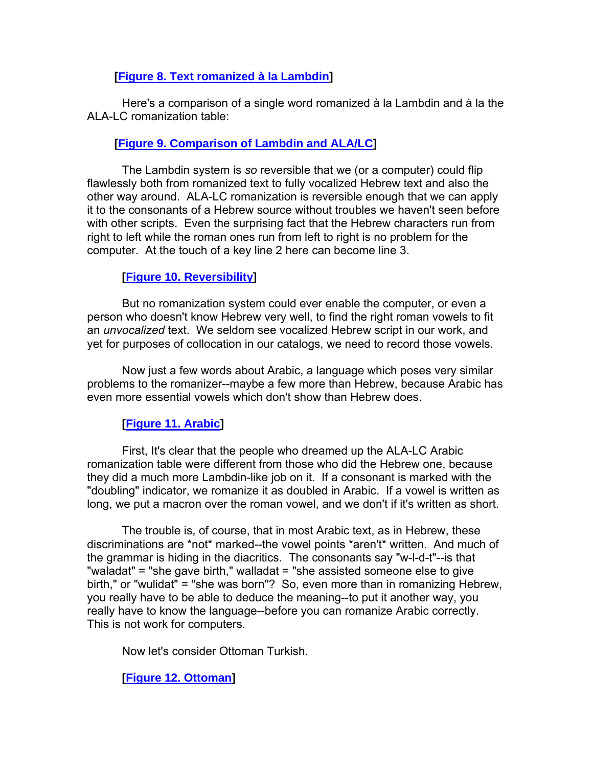# **[Figure 8. Text romanized à la Lambdin]**

 Here's a comparison of a single word romanized à la Lambdin and à la the ALA-LC romanization table:

# **[Figure 9. Comparison of Lambdin and ALA/LC]**

 The Lambdin system is *so* reversible that we (or a computer) could flip flawlessly both from romanized text to fully vocalized Hebrew text and also the other way around. ALA-LC romanization is reversible enough that we can apply it to the consonants of a Hebrew source without troubles we haven't seen before with other scripts. Even the surprising fact that the Hebrew characters run from right to left while the roman ones run from left to right is no problem for the computer. At the touch of a key line 2 here can become line 3.

### **[Figure 10. Reversibility]**

 But no romanization system could ever enable the computer, or even a person who doesn't know Hebrew very well, to find the right roman vowels to fit an *unvocalized* text. We seldom see vocalized Hebrew script in our work, and yet for purposes of collocation in our catalogs, we need to record those vowels.

 Now just a few words about Arabic, a language which poses very similar problems to the romanizer--maybe a few more than Hebrew, because Arabic has even more essential vowels which don't show than Hebrew does.

# **[Figure 11. Arabic]**

 First, It's clear that the people who dreamed up the ALA-LC Arabic romanization table were different from those who did the Hebrew one, because they did a much more Lambdin-like job on it. If a consonant is marked with the "doubling" indicator, we romanize it as doubled in Arabic. If a vowel is written as long, we put a macron over the roman vowel, and we don't if it's written as short.

 The trouble is, of course, that in most Arabic text, as in Hebrew, these discriminations are \*not\* marked--the vowel points \*aren't\* written. And much of the grammar is hiding in the diacritics. The consonants say "w-l-d-t"--is that "waladat" = "she gave birth," walladat = "she assisted someone else to give birth," or "wulidat" = "she was born"? So, even more than in romanizing Hebrew, you really have to be able to deduce the meaning--to put it another way, you really have to know the language--before you can romanize Arabic correctly. This is not work for computers.

Now let's consider Ottoman Turkish.

**[Figure 12. Ottoman]**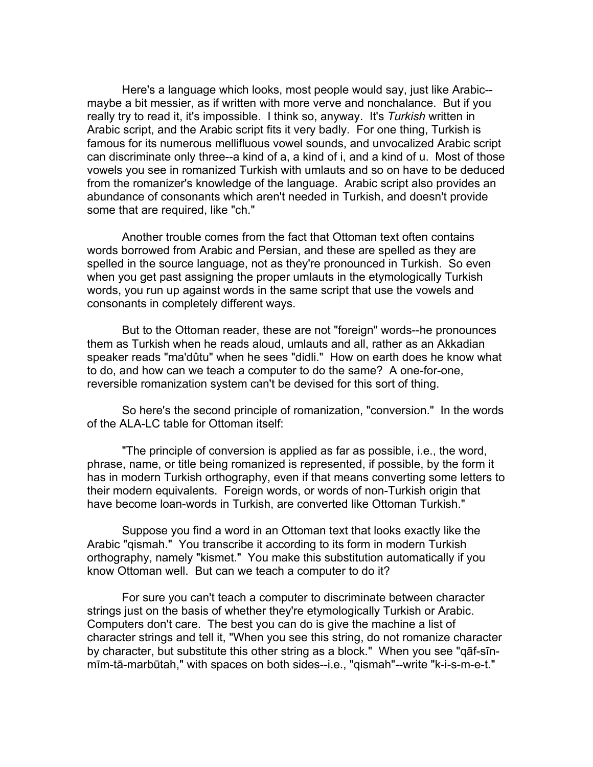Here's a language which looks, most people would say, just like Arabic- maybe a bit messier, as if written with more verve and nonchalance. But if you really try to read it, it's impossible. I think so, anyway. It's *Turkish* written in Arabic script, and the Arabic script fits it very badly. For one thing, Turkish is famous for its numerous mellifluous vowel sounds, and unvocalized Arabic script can discriminate only three--a kind of a, a kind of i, and a kind of u. Most of those vowels you see in romanized Turkish with umlauts and so on have to be deduced from the romanizer's knowledge of the language. Arabic script also provides an abundance of consonants which aren't needed in Turkish, and doesn't provide some that are required, like "ch."

 Another trouble comes from the fact that Ottoman text often contains words borrowed from Arabic and Persian, and these are spelled as they are spelled in the source language, not as they're pronounced in Turkish. So even when you get past assigning the proper umlauts in the etymologically Turkish words, you run up against words in the same script that use the vowels and consonants in completely different ways.

 But to the Ottoman reader, these are not "foreign" words--he pronounces them as Turkish when he reads aloud, umlauts and all, rather as an Akkadian speaker reads "ma'dûtu" when he sees "didli." How on earth does he know what to do, and how can we teach a computer to do the same? A one-for-one, reversible romanization system can't be devised for this sort of thing.

 So here's the second principle of romanization, "conversion." In the words of the ALA-LC table for Ottoman itself:

 "The principle of conversion is applied as far as possible, i.e., the word, phrase, name, or title being romanized is represented, if possible, by the form it has in modern Turkish orthography, even if that means converting some letters to their modern equivalents. Foreign words, or words of non-Turkish origin that have become loan-words in Turkish, are converted like Ottoman Turkish."

 Suppose you find a word in an Ottoman text that looks exactly like the Arabic "qismah." You transcribe it according to its form in modern Turkish orthography, namely "kismet." You make this substitution automatically if you know Ottoman well. But can we teach a computer to do it?

 For sure you can't teach a computer to discriminate between character strings just on the basis of whether they're etymologically Turkish or Arabic. Computers don't care. The best you can do is give the machine a list of character strings and tell it, "When you see this string, do not romanize character by character, but substitute this other string as a block." When you see "qāf-sīnmīm-tā-marbūtah," with spaces on both sides--i.e., "qismah"--write "k-i-s-m-e-t."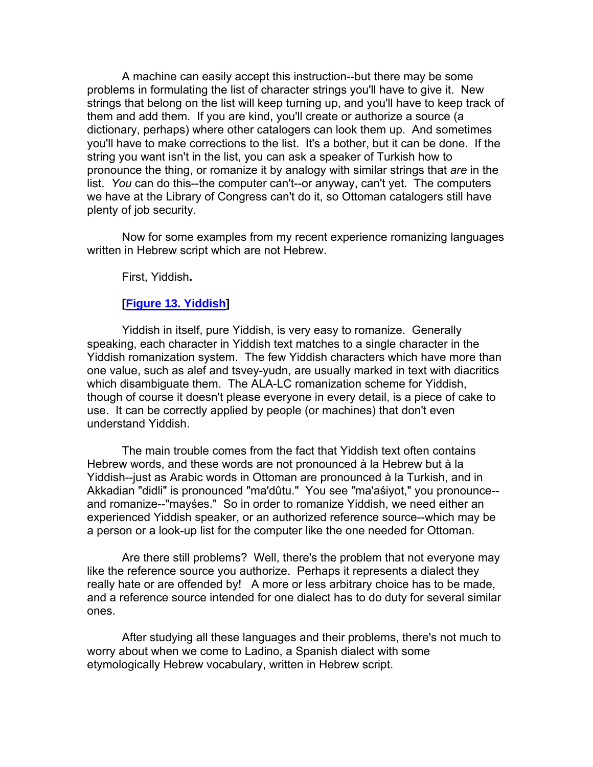A machine can easily accept this instruction--but there may be some problems in formulating the list of character strings you'll have to give it. New strings that belong on the list will keep turning up, and you'll have to keep track of them and add them. If you are kind, you'll create or authorize a source (a dictionary, perhaps) where other catalogers can look them up. And sometimes you'll have to make corrections to the list. It's a bother, but it can be done. If the string you want isn't in the list, you can ask a speaker of Turkish how to pronounce the thing, or romanize it by analogy with similar strings that *are* in the list. *You* can do this--the computer can't--or anyway, can't yet. The computers we have at the Library of Congress can't do it, so Ottoman catalogers still have plenty of job security.

 Now for some examples from my recent experience romanizing languages written in Hebrew script which are not Hebrew.

First, Yiddish**.** 

#### **[Figure 13. Yiddish]**

 Yiddish in itself, pure Yiddish, is very easy to romanize. Generally speaking, each character in Yiddish text matches to a single character in the Yiddish romanization system. The few Yiddish characters which have more than one value, such as alef and tsvey-yudn, are usually marked in text with diacritics which disambiguate them. The ALA-LC romanization scheme for Yiddish, though of course it doesn't please everyone in every detail, is a piece of cake to use. It can be correctly applied by people (or machines) that don't even understand Yiddish.

 The main trouble comes from the fact that Yiddish text often contains Hebrew words, and these words are not pronounced à la Hebrew but à la Yiddish--just as Arabic words in Ottoman are pronounced à la Turkish, and in Akkadian "didli" is pronounced "ma'dûtu." You see "ma'aśiyot," you pronounce- and romanize--"mayśes." So in order to romanize Yiddish, we need either an experienced Yiddish speaker, or an authorized reference source--which may be a person or a look-up list for the computer like the one needed for Ottoman.

 Are there still problems? Well, there's the problem that not everyone may like the reference source you authorize. Perhaps it represents a dialect they really hate or are offended by! A more or less arbitrary choice has to be made, and a reference source intended for one dialect has to do duty for several similar ones.

 After studying all these languages and their problems, there's not much to worry about when we come to Ladino, a Spanish dialect with some etymologically Hebrew vocabulary, written in Hebrew script.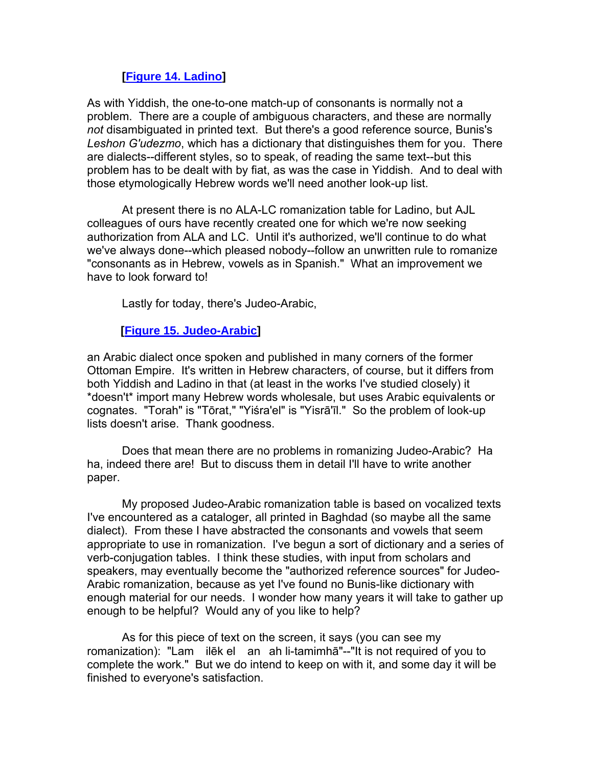### **[Figure 14. Ladino]**

As with Yiddish, the one-to-one match-up of consonants is normally not a problem. There are a couple of ambiguous characters, and these are normally *not* disambiguated in printed text. But there's a good reference source, Bunis's *Leshon G'udezmo*, which has a dictionary that distinguishes them for you. There are dialects--different styles, so to speak, of reading the same text--but this problem has to be dealt with by fiat, as was the case in Yiddish. And to deal with those etymologically Hebrew words we'll need another look-up list.

 At present there is no ALA-LC romanization table for Ladino, but AJL colleagues of ours have recently created one for which we're now seeking authorization from ALA and LC. Until it's authorized, we'll continue to do what we've always done--which pleased nobody--follow an unwritten rule to romanize "consonants as in Hebrew, vowels as in Spanish." What an improvement we have to look forward to!

Lastly for today, there's Judeo-Arabic,

# **[Figure 15. Judeo-Arabic]**

an Arabic dialect once spoken and published in many corners of the former Ottoman Empire. It's written in Hebrew characters, of course, but it differs from both Yiddish and Ladino in that (at least in the works I've studied closely) it \*doesn't\* import many Hebrew words wholesale, but uses Arabic equivalents or cognates. "Torah" is "Tōrat," "Yiśra'el" is "Yisrā'īl." So the problem of look-up lists doesn't arise. Thank goodness.

 Does that mean there are no problems in romanizing Judeo-Arabic? Ha ha, indeed there are! But to discuss them in detail I'll have to write another paper.

 My proposed Judeo-Arabic romanization table is based on vocalized texts I've encountered as a cataloger, all printed in Baghdad (so maybe all the same dialect). From these I have abstracted the consonants and vowels that seem appropriate to use in romanization. I've begun a sort of dictionary and a series of verb-conjugation tables. I think these studies, with input from scholars and speakers, may eventually become the "authorized reference sources" for Judeo-Arabic romanization, because as yet I've found no Bunis-like dictionary with enough material for our needs. I wonder how many years it will take to gather up enough to be helpful? Would any of you like to help?

 As for this piece of text on the screen, it says (you can see my romanization): "Lam ilēk el an ah li-tamimhā"--"It is not required of you to complete the work." But we do intend to keep on with it, and some day it will be finished to everyone's satisfaction.